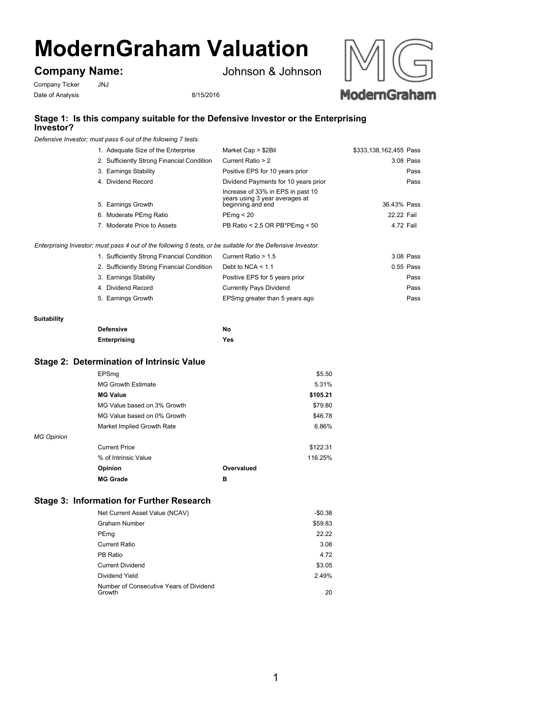# **ModernGraham Valuation**

## **Company Name:**

Johnson & Johnson

Company Ticker JNJ Date of Analysis 8/15/2016



## **Stage 1: Is this company suitable for the Defensive Investor or the Enterprising Investor?**

*Defensive Investor; must pass 6 out of the following 7 tests.*

| 1. Adequate Size of the Enterprise         | Market Cap > \$2Bil                                                                      | \$333,138,162,455 Pass |
|--------------------------------------------|------------------------------------------------------------------------------------------|------------------------|
| 2. Sufficiently Strong Financial Condition | Current Ratio > 2                                                                        | 3.08 Pass              |
| 3. Earnings Stability                      | Positive EPS for 10 years prior                                                          | Pass                   |
| 4. Dividend Record                         | Dividend Payments for 10 years prior                                                     | Pass                   |
| 5. Earnings Growth                         | Increase of 33% in EPS in past 10<br>years using 3 year averages at<br>beginning and end | 36.43% Pass            |
| 6. Moderate PEmg Ratio                     | PEmq < 20                                                                                | 22.22 Fail             |
| 7. Moderate Price to Assets                | PB Ratio < 2.5 OR PB*PEmg < 50                                                           | 4.72 Fail              |
|                                            |                                                                                          |                        |

*Enterprising Investor; must pass 4 out of the following 5 tests, or be suitable for the Defensive Investor.*

| 1. Sufficiently Strong Financial Condition | Current Ratio > 1.5            | 3.08 Pass   |
|--------------------------------------------|--------------------------------|-------------|
| 2. Sufficiently Strong Financial Condition | Debt to NCA $< 1.1$            | $0.55$ Pass |
| 3. Earnings Stability                      | Positive EPS for 5 years prior | Pass        |
| 4. Dividend Record                         | <b>Currently Pays Dividend</b> | Pass        |
| 5. Earnings Growth                         | EPSmg greater than 5 years ago | Pass        |

#### **Suitability**

| Defensive    | No         |
|--------------|------------|
| Enterprising | <b>Yes</b> |

### **Stage 2: Determination of Intrinsic Value**

|            | EPSmq                       |            | \$5.50   |
|------------|-----------------------------|------------|----------|
|            | <b>MG Growth Estimate</b>   |            | 5.31%    |
|            | <b>MG Value</b>             |            | \$105.21 |
|            | MG Value based on 3% Growth |            | \$79.80  |
|            | MG Value based on 0% Growth |            | \$46.78  |
|            | Market Implied Growth Rate  |            | 6.86%    |
| MG Opinion |                             |            |          |
|            | <b>Current Price</b>        |            | \$122.31 |
|            | % of Intrinsic Value        |            | 116.25%  |
|            | Opinion                     | Overvalued |          |
|            | <b>MG Grade</b>             | в          |          |

## **Stage 3: Information for Further Research**

| Net Current Asset Value (NCAV)                    | $-$0.38$ |
|---------------------------------------------------|----------|
| <b>Graham Number</b>                              | \$59.83  |
| PEmg                                              | 22.22    |
| Current Ratio                                     | 3.08     |
| PB Ratio                                          | 4.72     |
| <b>Current Dividend</b>                           | \$3.05   |
| Dividend Yield                                    | 2.49%    |
| Number of Consecutive Years of Dividend<br>Growth | 20       |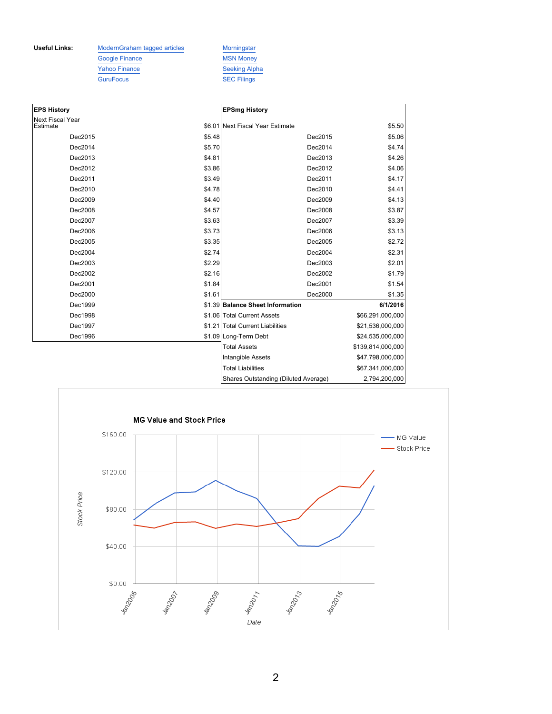Useful Links: ModernGraham tagged articles Morningstar Google Finance MSN Money Yahoo Finance Seeking Alpha GuruFocus SEC Filings

| <b>EPS History</b>                  |        | <b>EPSmg History</b>                 |                   |
|-------------------------------------|--------|--------------------------------------|-------------------|
| <b>Next Fiscal Year</b><br>Estimate |        | \$6.01 Next Fiscal Year Estimate     | \$5.50            |
| Dec2015                             | \$5.48 | Dec2015                              | \$5.06            |
| Dec2014                             | \$5.70 | Dec2014                              | \$4.74            |
| Dec2013                             | \$4.81 | Dec2013                              | \$4.26            |
| Dec2012                             | \$3.86 | Dec2012                              | \$4.06            |
| Dec2011                             | \$3.49 | Dec2011                              | \$4.17            |
| Dec2010                             | \$4.78 | Dec2010                              | \$4.41            |
| Dec2009                             | \$4.40 | Dec2009                              | \$4.13            |
| Dec2008                             | \$4.57 | Dec2008                              | \$3.87            |
| Dec2007                             | \$3.63 | Dec2007                              | \$3.39            |
| Dec2006                             | \$3.73 | Dec2006                              | \$3.13            |
| Dec2005                             | \$3.35 | Dec2005                              | \$2.72            |
| Dec2004                             | \$2.74 | Dec2004                              | \$2.31            |
| Dec2003                             | \$2.29 | Dec2003                              | \$2.01            |
| Dec2002                             | \$2.16 | Dec2002                              | \$1.79            |
| Dec2001                             | \$1.84 | Dec2001                              | \$1.54            |
| Dec2000                             | \$1.61 | Dec2000                              | \$1.35            |
| Dec1999                             |        | \$1.39 Balance Sheet Information     | 6/1/2016          |
| Dec1998                             |        | \$1.06 Total Current Assets          | \$66,291,000,000  |
| Dec1997                             |        | \$1.21 Total Current Liabilities     | \$21,536,000,000  |
| Dec1996                             |        | \$1.09 Long-Term Debt                | \$24,535,000,000  |
|                                     |        | <b>Total Assets</b>                  | \$139,814,000,000 |
|                                     |        | Intangible Assets                    | \$47,798,000,000  |
|                                     |        | <b>Total Liabilities</b>             | \$67,341,000,000  |
|                                     |        | Shares Outstanding (Diluted Average) | 2,794,200,000     |